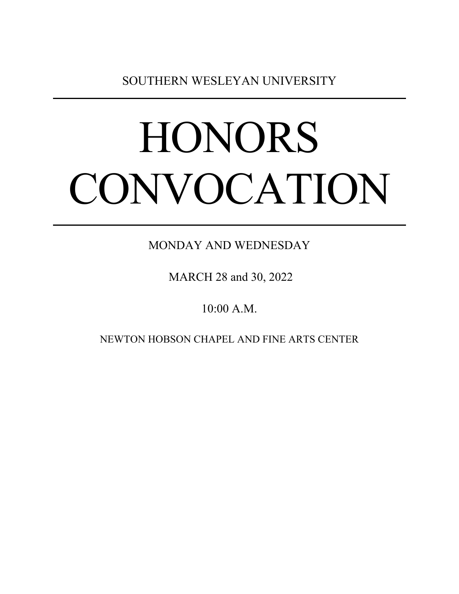SOUTHERN WESLEYAN UNIVERSITY

# **HONORS** CONVOCATION

MONDAY AND WEDNESDAY

MARCH 28 and 30, 2022

10:00 A.M.

NEWTON HOBSON CHAPEL AND FINE ARTS CENTER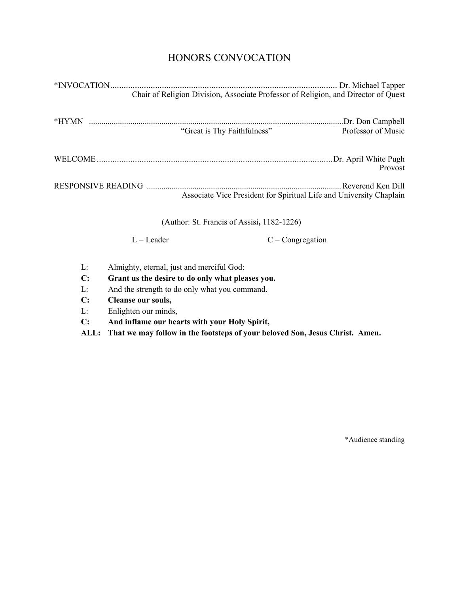# HONORS CONVOCATION

| Chair of Religion Division, Associate Professor of Religion, and Director of Quest |                    |
|------------------------------------------------------------------------------------|--------------------|
| "Great is Thy Faithfulness"                                                        | Professor of Music |
|                                                                                    | Provost            |
| Associate Vice President for Spiritual Life and University Chaplain                |                    |
|                                                                                    |                    |

(Author: St. Francis of Assisi**,** 1182-1226)

 $L =$  Leader  $C =$  Congregation

- L: Almighty, eternal, just and merciful God:
- **C: Grant us the desire to do only what pleases you.**
- L: And the strength to do only what you command.
- **C: Cleanse our souls,**
- L: Enlighten our minds,
- **C: And inflame our hearts with your Holy Spirit,**

**ALL: That we may follow in the footsteps of your beloved Son, Jesus Christ. Amen.** 

\*Audience standing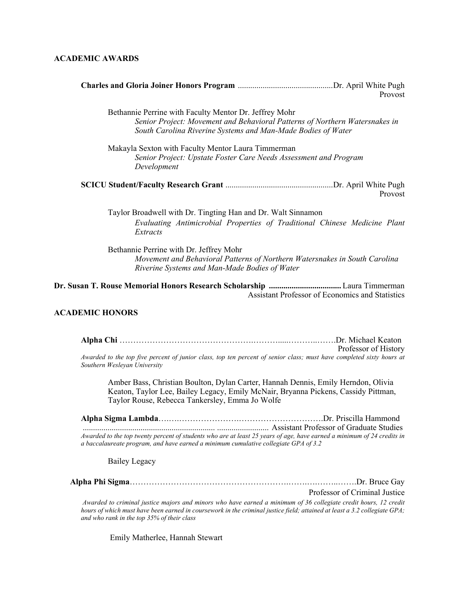### **ACADEMIC AWARDS**

| Provost                                                                                                                                                                                               |
|-------------------------------------------------------------------------------------------------------------------------------------------------------------------------------------------------------|
| Bethannie Perrine with Faculty Mentor Dr. Jeffrey Mohr<br>Senior Project: Movement and Behavioral Patterns of Northern Watersnakes in<br>South Carolina Riverine Systems and Man-Made Bodies of Water |
| Makayla Sexton with Faculty Mentor Laura Timmerman<br>Senior Project: Upstate Foster Care Needs Assessment and Program<br>Development                                                                 |
| Provost                                                                                                                                                                                               |
| Taylor Broadwell with Dr. Tingting Han and Dr. Walt Sinnamon<br>Evaluating Antimicrobial Properties of Traditional Chinese Medicine Plant<br>Extracts                                                 |
| Bethannie Perrine with Dr. Jeffrey Mohr<br>Movement and Behavioral Patterns of Northern Watersnakes in South Carolina<br>Riverine Systems and Man-Made Bodies of Water                                |
|                                                                                                                                                                                                       |

Assistant Professor of Economics and Statistics

### **ACADEMIC HONORS**

**Alpha Chi** ………………………………………….……….....………..…….Dr. Michael Keaton Professor of History *Awarded to the top five percent of junior class, top ten percent of senior class; must have completed sixty hours at Southern Wesleyan University* 

Amber Bass, Christian Boulton, Dylan Carter, Hannah Dennis, Emily Herndon, Olivia Keaton, Taylor Lee, Bailey Legacy, Emily McNair, Bryanna Pickens, Cassidy Pittman, Taylor Rouse, Rebecca Tankersley, Emma Jo Wolfe

**Alpha Sigma Lambda**….….………………….………………………….Dr. Priscilla Hammond ................................................................ ......................... Assistant Professor of Graduate Studies *Awarded to the top twenty percent of students who are at least 25 years of age, have earned a minimum of 24 credits in a baccalaureate program, and have earned a minimum cumulative collegiate GPA of 3.2* 

Bailey Legacy

|  | Professor of Criminal Justice |
|--|-------------------------------|

*Awarded to criminal justice majors and minors who have earned a minimum of 36 collegiate credit hours, 12 credit hours of which must have been earned in coursework in the criminal justice field; attained at least a 3.2 collegiate GPA; and who rank in the top 35% of their class*

Emily Matherlee, Hannah Stewart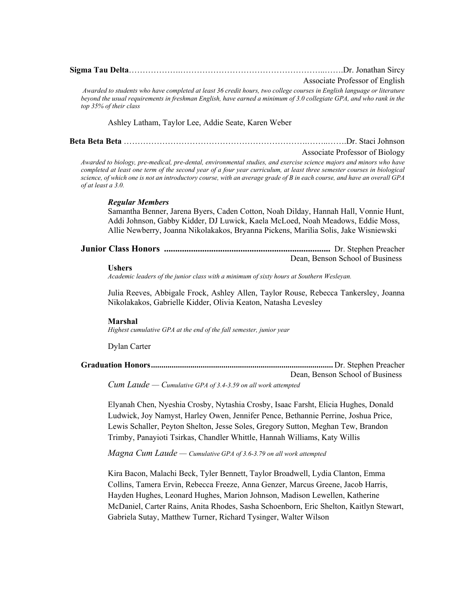| Associate Professor of English                                                                                                                                                                                                                                                                                                                                                                  |
|-------------------------------------------------------------------------------------------------------------------------------------------------------------------------------------------------------------------------------------------------------------------------------------------------------------------------------------------------------------------------------------------------|
| Awarded to students who have completed at least 36 credit hours, two college courses in English language or literature<br>beyond the usual requirements in freshman English, have earned a minimum of 3.0 collegiate GPA, and who rank in the<br>top 35% of their class                                                                                                                         |
| Ashley Latham, Taylor Lee, Addie Seate, Karen Weber                                                                                                                                                                                                                                                                                                                                             |
|                                                                                                                                                                                                                                                                                                                                                                                                 |
| Associate Professor of Biology                                                                                                                                                                                                                                                                                                                                                                  |
| Awarded to biology, pre-medical, pre-dental, environmental studies, and exercise science majors and minors who have<br>completed at least one term of the second year of a four year curriculum, at least three semester courses in biological<br>science, of which one is not an introductory course, with an average grade of B in each course, and have an overall GPA<br>of at least a 3.0. |
| <b>Regular Members</b>                                                                                                                                                                                                                                                                                                                                                                          |
| Samantha Benner, Jarena Byers, Caden Cotton, Noah Dilday, Hannah Hall, Vonnie Hunt,<br>Addi Johnson, Gabby Kidder, DJ Luwick, Kaela McLoed, Noah Meadows, Eddie Moss,<br>Allie Newberry, Joanna Nikolakakos, Bryanna Pickens, Marilia Solis, Jake Wisniewski                                                                                                                                    |
| Dean, Benson School of Business                                                                                                                                                                                                                                                                                                                                                                 |
| <b>Ushers</b><br>Academic leaders of the junior class with a minimum of sixty hours at Southern Wesleyan.                                                                                                                                                                                                                                                                                       |
| Julia Reeves, Abbigale Frock, Ashley Allen, Taylor Rouse, Rebecca Tankersley, Joanna<br>Nikolakakos, Gabrielle Kidder, Olivia Keaton, Natasha Levesley                                                                                                                                                                                                                                          |
| <b>Marshal</b><br>Highest cumulative GPA at the end of the fall semester, junior year                                                                                                                                                                                                                                                                                                           |
| Dylan Carter                                                                                                                                                                                                                                                                                                                                                                                    |
|                                                                                                                                                                                                                                                                                                                                                                                                 |
| Dean, Benson School of Business<br>Cum Laude — Cumulative GPA of 3.4-3.59 on all work attempted                                                                                                                                                                                                                                                                                                 |
| Elyanah Chen, Nyeshia Crosby, Nytashia Crosby, Isaac Farsht, Elicia Hughes, Donald                                                                                                                                                                                                                                                                                                              |
| Ludwick, Joy Namyst, Harley Owen, Jennifer Pence, Bethannie Perrine, Joshua Price,                                                                                                                                                                                                                                                                                                              |
| Lewis Schaller, Peyton Shelton, Jesse Soles, Gregory Sutton, Meghan Tew, Brandon                                                                                                                                                                                                                                                                                                                |
| Trimby, Panayioti Tsirkas, Chandler Whittle, Hannah Williams, Katy Willis                                                                                                                                                                                                                                                                                                                       |
| Magna Cum Laude - Cumulative GPA of 3.6-3.79 on all work attempted                                                                                                                                                                                                                                                                                                                              |
| Kira Bacon, Malachi Beck, Tyler Bennett, Taylor Broadwell, Lydia Clanton, Emma                                                                                                                                                                                                                                                                                                                  |
| Collins, Tamera Ervin, Rebecca Freeze, Anna Genzer, Marcus Greene, Jacob Harris,                                                                                                                                                                                                                                                                                                                |
| Hayden Hughes, Leonard Hughes, Marion Johnson, Madison Lewellen, Katherine                                                                                                                                                                                                                                                                                                                      |
| McDaniel, Carter Rains, Anita Rhodes, Sasha Schoenborn, Eric Shelton, Kaitlyn Stewart,                                                                                                                                                                                                                                                                                                          |

Gabriela Sutay, Matthew Turner, Richard Tysinger, Walter Wilson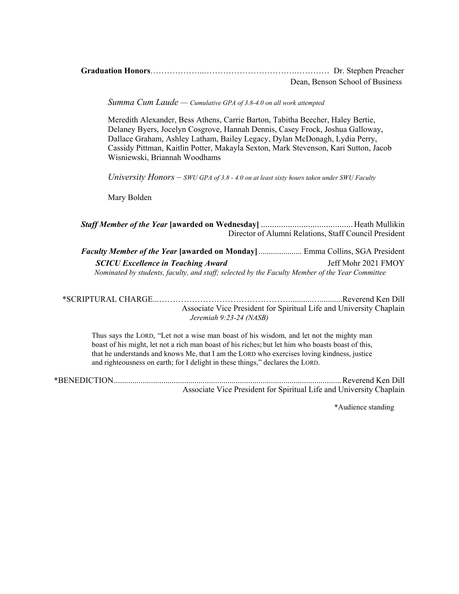| Dean. Benson School of Business |
|---------------------------------|

*Summa Cum Laude — Cumulative GPA of 3.8-4.0 on all work attempted* 

Meredith Alexander, Bess Athens, Carrie Barton, Tabitha Beecher, Haley Bertie, Delaney Byers, Jocelyn Cosgrove, Hannah Dennis, Casey Frock, Joshua Galloway, Dallace Graham, Ashley Latham, Bailey Legacy, Dylan McDonagh, Lydia Perry, Cassidy Pittman, Kaitlin Potter, Makayla Sexton, Mark Stevenson, Kari Sutton, Jacob Wisniewski, Briannah Woodhams

*University Honors – SWU GPA of 3.8 - 4.0 on at least sixty hours taken under SWU Faculty* 

Mary Bolden

*Staff Member of the Year* **[awarded on Wednesday]** ......................................... Heath Mullikin Director of Alumni Relations, Staff Council President

*Faculty Member of the Year* **[awarded on Monday]** ..................... Emma Collins, SGA President  *SCICU Excellence in Teaching Award*Jeff Mohr 2021 FMOY  *Nominated by students, faculty, and staff; selected by the Faculty Member of the Year Committee* 

\*SCRIPTURAL CHARGE...…………………………………………..........…...........Reverend Ken Dill Associate Vice President for Spiritual Life and University Chaplain *Jeremiah 9:23-24 (NASB)* 

Thus says the LORD, "Let not a wise man boast of his wisdom, and let not the mighty man boast of his might, let not a rich man boast of his riches; but let him who boasts boast of this, that he understands and knows Me, that I am the LORD who exercises loving kindness, justice and righteousness on earth; for I delight in these things," declares the LORD.

\*BENEDICTION .............................................................................................................. Reverend Ken Dill Associate Vice President for Spiritual Life and University Chaplain

\*Audience standing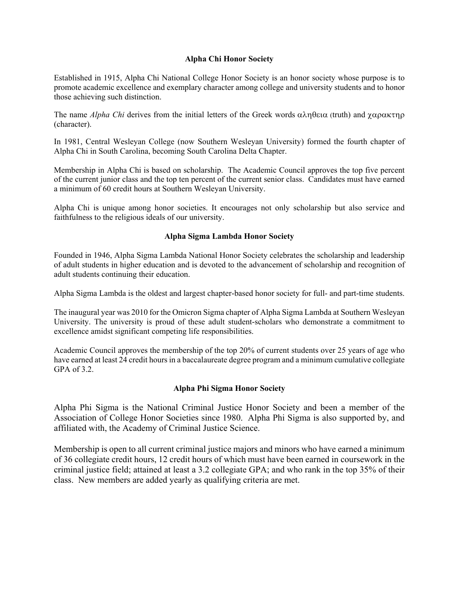# **Alpha Chi Honor Society**

Established in 1915, Alpha Chi National College Honor Society is an honor society whose purpose is to promote academic excellence and exemplary character among college and university students and to honor those achieving such distinction.

The name *Alpha Chi* derives from the initial letters of the Greek words  $\alpha \lambda \eta \theta \epsilon \alpha$  (truth) and  $\gamma \alpha \rho \alpha \kappa \tau \eta \rho$ (character).

In 1981, Central Wesleyan College (now Southern Wesleyan University) formed the fourth chapter of Alpha Chi in South Carolina, becoming South Carolina Delta Chapter.

Membership in Alpha Chi is based on scholarship. The Academic Council approves the top five percent of the current junior class and the top ten percent of the current senior class. Candidates must have earned a minimum of 60 credit hours at Southern Wesleyan University.

Alpha Chi is unique among honor societies. It encourages not only scholarship but also service and faithfulness to the religious ideals of our university.

# **Alpha Sigma Lambda Honor Society**

Founded in 1946, Alpha Sigma Lambda National Honor Society celebrates the scholarship and leadership of adult students in higher education and is devoted to the advancement of scholarship and recognition of adult students continuing their education.

Alpha Sigma Lambda is the oldest and largest chapter-based honor society for full- and part-time students.

The inaugural year was 2010 for the Omicron Sigma chapter of Alpha Sigma Lambda at Southern Wesleyan University. The university is proud of these adult student-scholars who demonstrate a commitment to excellence amidst significant competing life responsibilities.

Academic Council approves the membership of the top 20% of current students over 25 years of age who have earned at least 24 credit hours in a baccalaureate degree program and a minimum cumulative collegiate GPA of 3.2.

# **Alpha Phi Sigma Honor Society**

Alpha Phi Sigma is the National Criminal Justice Honor Society and been a member of the Association of College Honor Societies since 1980. Alpha Phi Sigma is also supported by, and affiliated with, the Academy of Criminal Justice Science.

Membership is open to all current criminal justice majors and minors who have earned a minimum of 36 collegiate credit hours, 12 credit hours of which must have been earned in coursework in the criminal justice field; attained at least a 3.2 collegiate GPA; and who rank in the top 35% of their class. New members are added yearly as qualifying criteria are met.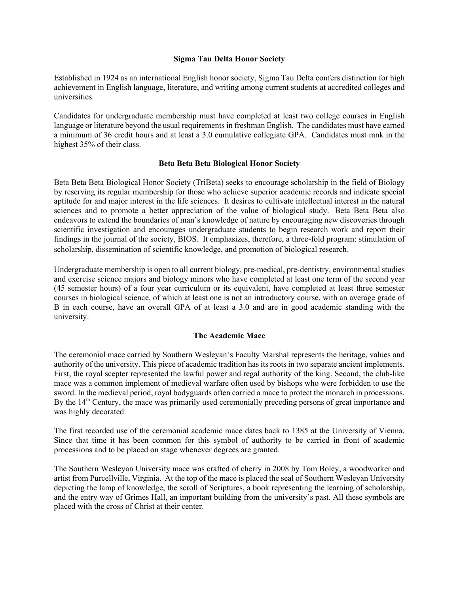### **Sigma Tau Delta Honor Society**

Established in 1924 as an international English honor society, Sigma Tau Delta confers distinction for high achievement in English language, literature, and writing among current students at accredited colleges and universities.

Candidates for undergraduate membership must have completed at least two college courses in English language or literature beyond the usual requirements in freshman English. The candidates must have earned a minimum of 36 credit hours and at least a 3.0 cumulative collegiate GPA. Candidates must rank in the highest 35% of their class.

# **Beta Beta Beta Biological Honor Society**

Beta Beta Beta Biological Honor Society (TriBeta) seeks to encourage scholarship in the field of Biology by reserving its regular membership for those who achieve superior academic records and indicate special aptitude for and major interest in the life sciences. It desires to cultivate intellectual interest in the natural sciences and to promote a better appreciation of the value of biological study. Beta Beta Beta also endeavors to extend the boundaries of man's knowledge of nature by encouraging new discoveries through scientific investigation and encourages undergraduate students to begin research work and report their findings in the journal of the society, BIOS. It emphasizes, therefore, a three-fold program: stimulation of scholarship, dissemination of scientific knowledge, and promotion of biological research.

Undergraduate membership is open to all current biology, pre-medical, pre-dentistry, environmental studies and exercise science majors and biology minors who have completed at least one term of the second year (45 semester hours) of a four year curriculum or its equivalent, have completed at least three semester courses in biological science, of which at least one is not an introductory course, with an average grade of B in each course, have an overall GPA of at least a 3.0 and are in good academic standing with the university.

# **The Academic Mace**

The ceremonial mace carried by Southern Wesleyan's Faculty Marshal represents the heritage, values and authority of the university. This piece of academic tradition has its roots in two separate ancient implements. First, the royal scepter represented the lawful power and regal authority of the king. Second, the club-like mace was a common implement of medieval warfare often used by bishops who were forbidden to use the sword. In the medieval period, royal bodyguards often carried a mace to protect the monarch in processions. By the 14<sup>th</sup> Century, the mace was primarily used ceremonially preceding persons of great importance and was highly decorated.

The first recorded use of the ceremonial academic mace dates back to 1385 at the University of Vienna. Since that time it has been common for this symbol of authority to be carried in front of academic processions and to be placed on stage whenever degrees are granted.

The Southern Wesleyan University mace was crafted of cherry in 2008 by Tom Boley, a woodworker and artist from Purcellville, Virginia. At the top of the mace is placed the seal of Southern Wesleyan University depicting the lamp of knowledge, the scroll of Scriptures, a book representing the learning of scholarship, and the entry way of Grimes Hall, an important building from the university's past. All these symbols are placed with the cross of Christ at their center.